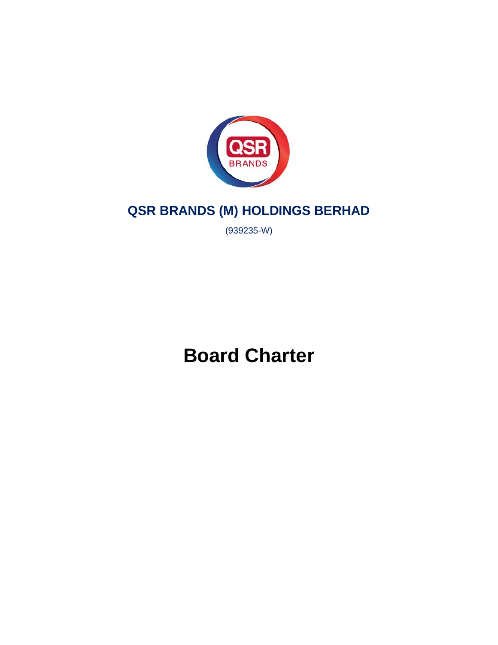

# **QSR BRANDS (M) HOLDINGS BERHAD**

(939235-W)

**Board Charter**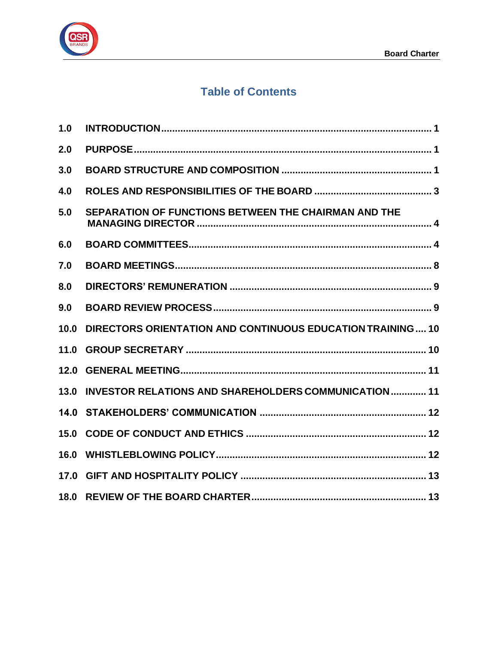

## **Table of Contents**

| 1.0  |                                                              |
|------|--------------------------------------------------------------|
| 2.0  |                                                              |
| 3.0  |                                                              |
| 4.0  |                                                              |
| 5.0  | SEPARATION OF FUNCTIONS BETWEEN THE CHAIRMAN AND THE         |
| 6.0  |                                                              |
| 7.0  |                                                              |
| 8.0  |                                                              |
| 9.0  |                                                              |
| 10.0 | DIRECTORS ORIENTATION AND CONTINUOUS EDUCATION TRAINING10    |
| 11.0 |                                                              |
| 12.0 |                                                              |
| 13.0 | <b>INVESTOR RELATIONS AND SHAREHOLDERS COMMUNICATION  11</b> |
|      |                                                              |
| 15.0 |                                                              |
|      |                                                              |
|      |                                                              |
|      |                                                              |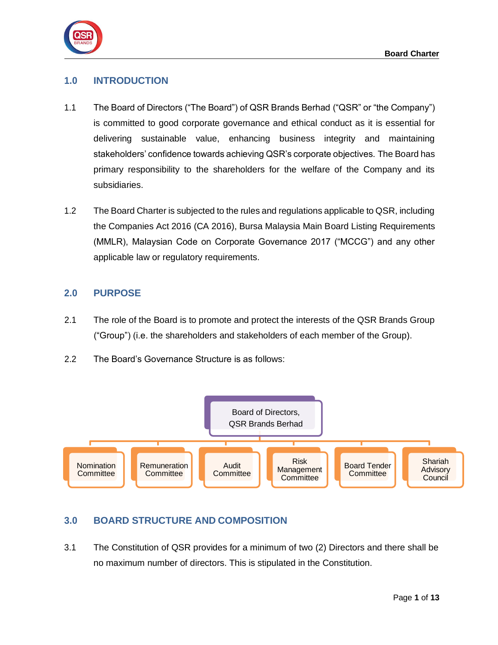

## <span id="page-2-0"></span>**1.0 INTRODUCTION**

- 1.1 The Board of Directors ("The Board") of QSR Brands Berhad ("QSR" or "the Company") is committed to good corporate governance and ethical conduct as it is essential for delivering sustainable value, enhancing business integrity and maintaining stakeholders' confidence towards achieving QSR's corporate objectives. The Board has primary responsibility to the shareholders for the welfare of the Company and its subsidiaries.
- 1.2 The Board Charter is subjected to the rules and regulations applicable to QSR, including the Companies Act 2016 (CA 2016), Bursa Malaysia Main Board Listing Requirements (MMLR), Malaysian Code on Corporate Governance 2017 ("MCCG") and any other applicable law or regulatory requirements.

## <span id="page-2-1"></span>**2.0 PURPOSE**

- 2.1 The role of the Board is to promote and protect the interests of the QSR Brands Group ("Group") (i.e. the shareholders and stakeholders of each member of the Group).
- 2.2 The Board's Governance Structure is as follows:



## <span id="page-2-2"></span>**3.0 BOARD STRUCTURE AND COMPOSITION**

3.1 The Constitution of QSR provides for a minimum of two (2) Directors and there shall be no maximum number of directors. This is stipulated in the Constitution.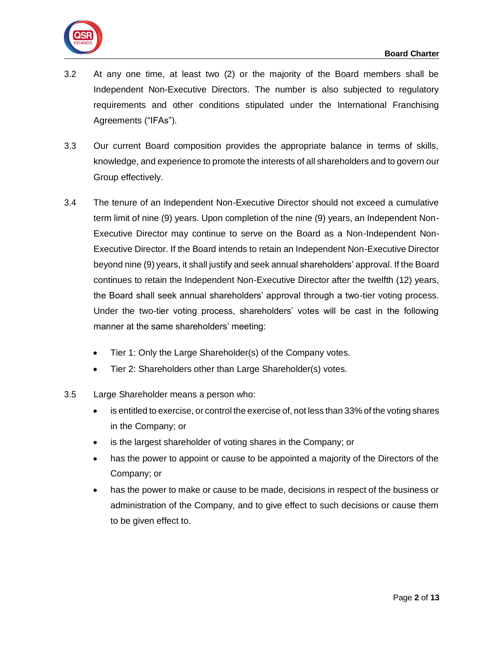

- 3.2 At any one time, at least two (2) or the majority of the Board members shall be Independent Non-Executive Directors. The number is also subjected to regulatory requirements and other conditions stipulated under the International Franchising Agreements ("IFAs").
- 3.3 Our current Board composition provides the appropriate balance in terms of skills, knowledge, and experience to promote the interests of all shareholders and to govern our Group effectively.
- 3.4 The tenure of an Independent Non-Executive Director should not exceed a cumulative term limit of nine (9) years. Upon completion of the nine (9) years, an Independent Non-Executive Director may continue to serve on the Board as a Non-Independent Non-Executive Director. If the Board intends to retain an Independent Non-Executive Director beyond nine (9) years, it shall justify and seek annual shareholders' approval. If the Board continues to retain the Independent Non-Executive Director after the twelfth (12) years, the Board shall seek annual shareholders' approval through a two-tier voting process. Under the two-tier voting process, shareholders' votes will be cast in the following manner at the same shareholders' meeting:
	- Tier 1: Only the Large Shareholder(s) of the Company votes.
	- Tier 2: Shareholders other than Large Shareholder(s) votes.
- 3.5 Large Shareholder means a person who:
	- is entitled to exercise, or control the exercise of, not less than 33% of the voting shares in the Company; or
	- is the largest shareholder of voting shares in the Company; or
	- has the power to appoint or cause to be appointed a majority of the Directors of the Company; or
	- has the power to make or cause to be made, decisions in respect of the business or administration of the Company, and to give effect to such decisions or cause them to be given effect to.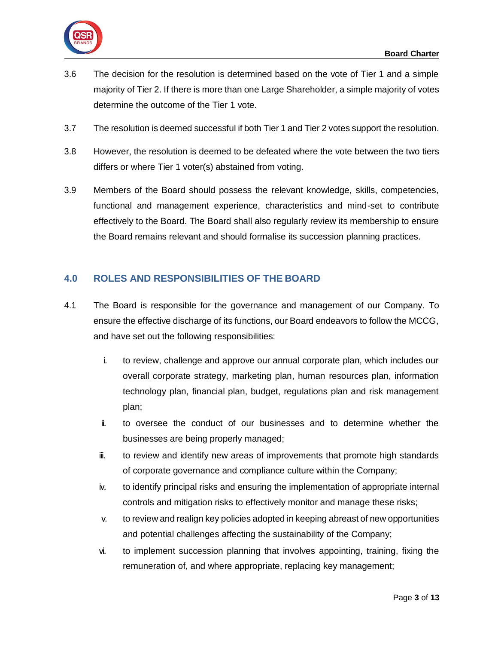

- 3.6 The decision for the resolution is determined based on the vote of Tier 1 and a simple majority of Tier 2. If there is more than one Large Shareholder, a simple majority of votes determine the outcome of the Tier 1 vote.
- 3.7 The resolution is deemed successful if both Tier 1 and Tier 2 votes support the resolution.
- 3.8 However, the resolution is deemed to be defeated where the vote between the two tiers differs or where Tier 1 voter(s) abstained from voting.
- 3.9 Members of the Board should possess the relevant knowledge, skills, competencies, functional and management experience, characteristics and mind-set to contribute effectively to the Board. The Board shall also regularly review its membership to ensure the Board remains relevant and should formalise its succession planning practices.

## <span id="page-4-0"></span>**4.0 ROLES AND RESPONSIBILITIES OF THE BOARD**

- 4.1 The Board is responsible for the governance and management of our Company. To ensure the effective discharge of its functions, our Board endeavors to follow the MCCG, and have set out the following responsibilities:
	- i. to review, challenge and approve our annual corporate plan, which includes our overall corporate strategy, marketing plan, human resources plan, information technology plan, financial plan, budget, regulations plan and risk management plan;
	- ii. to oversee the conduct of our businesses and to determine whether the businesses are being properly managed;
	- iii. to review and identify new areas of improvements that promote high standards of corporate governance and compliance culture within the Company;
	- iv. to identify principal risks and ensuring the implementation of appropriate internal controls and mitigation risks to effectively monitor and manage these risks;
	- v. to review and realign key policies adopted in keeping abreast of new opportunities and potential challenges affecting the sustainability of the Company;
	- vi. to implement succession planning that involves appointing, training, fixing the remuneration of, and where appropriate, replacing key management;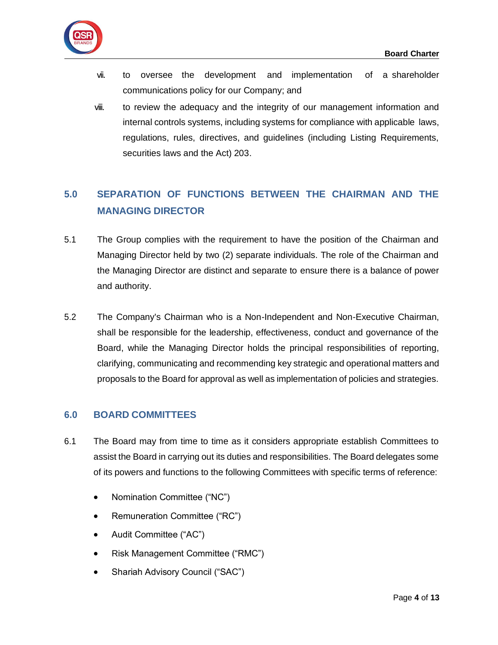

- vii. to oversee the development and implementation of a shareholder communications policy for our Company; and
- viii. to review the adequacy and the integrity of our management information and internal controls systems, including systems for compliance with applicable laws, regulations, rules, directives, and guidelines (including Listing Requirements, securities laws and the Act) 203.

## <span id="page-5-0"></span>**5.0 SEPARATION OF FUNCTIONS BETWEEN THE CHAIRMAN AND THE MANAGING DIRECTOR**

- 5.1 The Group complies with the requirement to have the position of the Chairman and Managing Director held by two (2) separate individuals. The role of the Chairman and the Managing Director are distinct and separate to ensure there is a balance of power and authority.
- 5.2 The Company's Chairman who is a Non-Independent and Non-Executive Chairman, shall be responsible for the leadership, effectiveness, conduct and governance of the Board, while the Managing Director holds the principal responsibilities of reporting, clarifying, communicating and recommending key strategic and operational matters and proposals to the Board for approval as well as implementation of policies and strategies.

## <span id="page-5-1"></span>**6.0 BOARD COMMITTEES**

- 6.1 The Board may from time to time as it considers appropriate establish Committees to assist the Board in carrying out its duties and responsibilities. The Board delegates some of its powers and functions to the following Committees with specific terms of reference:
	- Nomination Committee ("NC")
	- Remuneration Committee ("RC")
	- Audit Committee ("AC")
	- Risk Management Committee ("RMC")
	- Shariah Advisory Council ("SAC")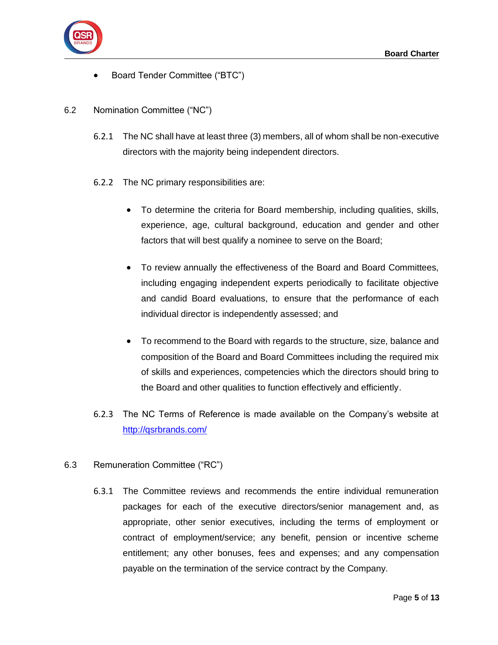

- Board Tender Committee ("BTC")
- 6.2 Nomination Committee ("NC")
	- 6.2.1 The NC shall have at least three (3) members, all of whom shall be non-executive directors with the majority being independent directors.
	- 6.2.2 The NC primary responsibilities are:
		- To determine the criteria for Board membership, including qualities, skills, experience, age, cultural background, education and gender and other factors that will best qualify a nominee to serve on the Board;
		- To review annually the effectiveness of the Board and Board Committees, including engaging independent experts periodically to facilitate objective and candid Board evaluations, to ensure that the performance of each individual director is independently assessed; and
		- To recommend to the Board with regards to the structure, size, balance and composition of the Board and Board Committees including the required mix of skills and experiences, competencies which the directors should bring to the Board and other qualities to function effectively and efficiently.
	- 6.2.3 The NC Terms of Reference is made available on the Company's website at <http://qsrbrands.com/>

#### 6.3 Remuneration Committee ("RC")

6.3.1 The Committee reviews and recommends the entire individual remuneration packages for each of the executive directors/senior management and, as appropriate, other senior executives, including the terms of employment or contract of employment/service; any benefit, pension or incentive scheme entitlement; any other bonuses, fees and expenses; and any compensation payable on the termination of the service contract by the Company.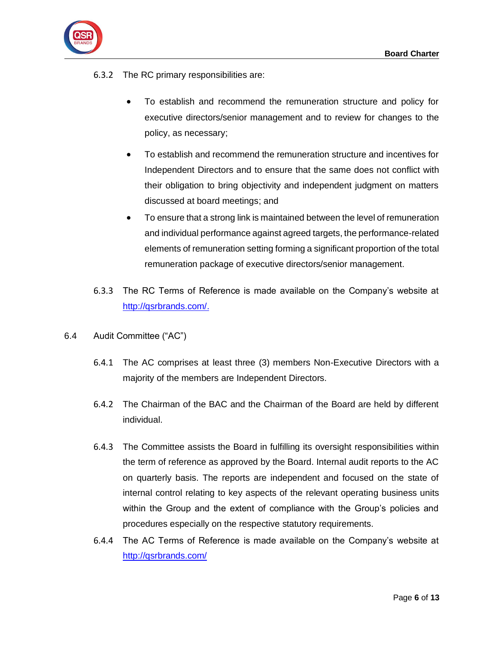

- 6.3.2 The RC primary responsibilities are:
	- To establish and recommend the remuneration structure and policy for executive directors/senior management and to review for changes to the policy, as necessary;
	- To establish and recommend the remuneration structure and incentives for Independent Directors and to ensure that the same does not conflict with their obligation to bring objectivity and independent judgment on matters discussed at board meetings; and
	- To ensure that a strong link is maintained between the level of remuneration and individual performance against agreed targets, the performance-related elements of remuneration setting forming a significant proportion of the total remuneration package of executive directors/senior management.
- 6.3.3 The RC Terms of Reference is made available on the Company's website at [http://qsrbrands.com/.](http://qsrbrands.com/)
- 6.4 Audit Committee ("AC")
	- 6.4.1 The AC comprises at least three (3) members Non-Executive Directors with a majority of the members are Independent Directors.
	- 6.4.2 The Chairman of the BAC and the Chairman of the Board are held by different individual.
	- 6.4.3 The Committee assists the Board in fulfilling its oversight responsibilities within the term of reference as approved by the Board. Internal audit reports to the AC on quarterly basis. The reports are independent and focused on the state of internal control relating to key aspects of the relevant operating business units within the Group and the extent of compliance with the Group's policies and procedures especially on the respective statutory requirements.
	- 6.4.4 The AC Terms of Reference is made available on the Company's website at <http://qsrbrands.com/>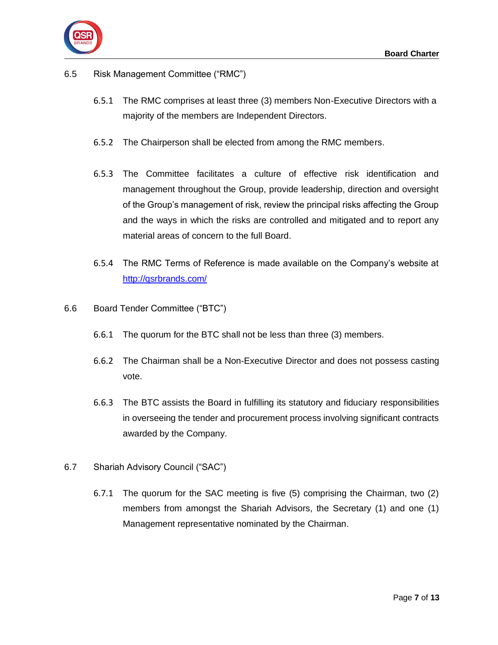

## 6.5 Risk Management Committee ("RMC")

- 6.5.1 The RMC comprises at least three (3) members Non-Executive Directors with a majority of the members are Independent Directors.
- 6.5.2 The Chairperson shall be elected from among the RMC members.
- 6.5.3 The Committee facilitates a culture of effective risk identification and management throughout the Group, provide leadership, direction and oversight of the Group's management of risk, review the principal risks affecting the Group and the ways in which the risks are controlled and mitigated and to report any material areas of concern to the full Board.
- 6.5.4 The RMC Terms of Reference is made available on the Company's website at <http://qsrbrands.com/>
- 6.6 Board Tender Committee ("BTC")
	- 6.6.1 The quorum for the BTC shall not be less than three (3) members.
	- 6.6.2 The Chairman shall be a Non-Executive Director and does not possess casting vote.
	- 6.6.3 The BTC assists the Board in fulfilling its statutory and fiduciary responsibilities in overseeing the tender and procurement process involving significant contracts awarded by the Company.
- 6.7 Shariah Advisory Council ("SAC")
	- 6.7.1 The quorum for the SAC meeting is five (5) comprising the Chairman, two (2) members from amongst the Shariah Advisors, the Secretary (1) and one (1) Management representative nominated by the Chairman.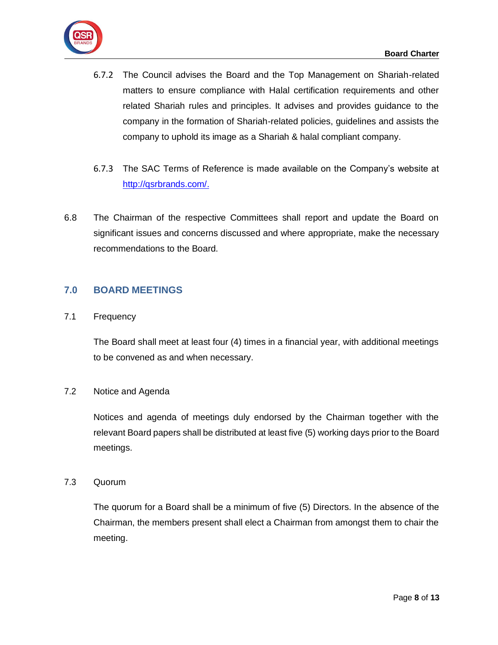

- 6.7.2 The Council advises the Board and the Top Management on Shariah-related matters to ensure compliance with Halal certification requirements and other related Shariah rules and principles. It advises and provides guidance to the company in the formation of Shariah-related policies, guidelines and assists the company to uphold its image as a Shariah & halal compliant company.
- 6.7.3 The SAC Terms of Reference is made available on the Company's website at [http://qsrbrands.com/.](http://qsrbrands.com/)
- 6.8 The Chairman of the respective Committees shall report and update the Board on significant issues and concerns discussed and where appropriate, make the necessary recommendations to the Board.

## <span id="page-9-0"></span>**7.0 BOARD MEETINGS**

7.1 Frequency

The Board shall meet at least four (4) times in a financial year, with additional meetings to be convened as and when necessary.

#### 7.2 Notice and Agenda

Notices and agenda of meetings duly endorsed by the Chairman together with the relevant Board papers shall be distributed at least five (5) working days prior to the Board meetings.

#### 7.3 Quorum

The quorum for a Board shall be a minimum of five (5) Directors. In the absence of the Chairman, the members present shall elect a Chairman from amongst them to chair the meeting.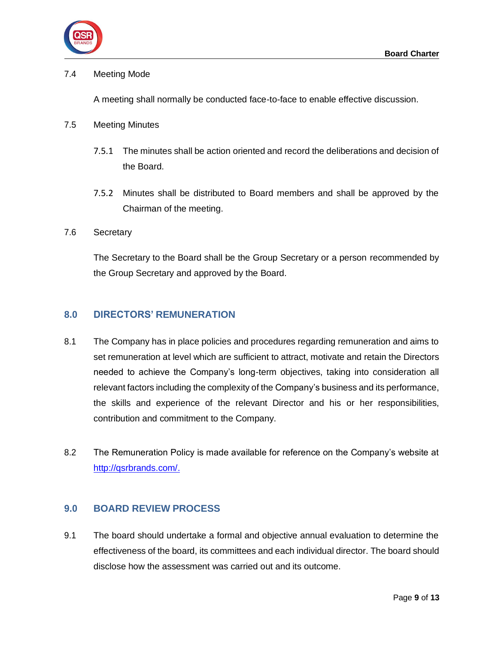

#### 7.4 Meeting Mode

A meeting shall normally be conducted face-to-face to enable effective discussion.

#### 7.5 Meeting Minutes

- 7.5.1 The minutes shall be action oriented and record the deliberations and decision of the Board.
- 7.5.2 Minutes shall be distributed to Board members and shall be approved by the Chairman of the meeting.

#### 7.6 Secretary

The Secretary to the Board shall be the Group Secretary or a person recommended by the Group Secretary and approved by the Board.

## <span id="page-10-0"></span>**8.0 DIRECTORS' REMUNERATION**

- 8.1 The Company has in place policies and procedures regarding remuneration and aims to set remuneration at level which are sufficient to attract, motivate and retain the Directors needed to achieve the Company's long-term objectives, taking into consideration all relevant factors including the complexity of the Company's business and its performance, the skills and experience of the relevant Director and his or her responsibilities, contribution and commitment to the Company.
- 8.2 The Remuneration Policy is made available for reference on the Company's website at [http://qsrbrands.com/.](http://qsrbrands.com/)

## <span id="page-10-1"></span>**9.0 BOARD REVIEW PROCESS**

9.1 The board should undertake a formal and objective annual evaluation to determine the effectiveness of the board, its committees and each individual director. The board should disclose how the assessment was carried out and its outcome.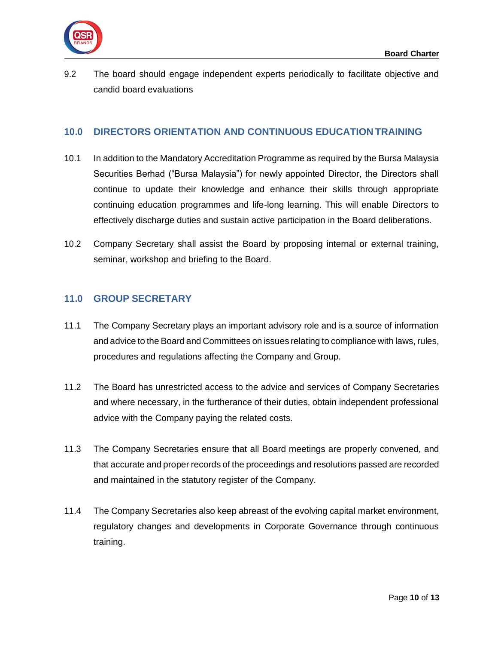

9.2 The board should engage independent experts periodically to facilitate objective and candid board evaluations

## <span id="page-11-0"></span>**10.0 DIRECTORS ORIENTATION AND CONTINUOUS EDUCATION TRAINING**

- 10.1 In addition to the Mandatory Accreditation Programme as required by the Bursa Malaysia Securities Berhad ("Bursa Malaysia") for newly appointed Director, the Directors shall continue to update their knowledge and enhance their skills through appropriate continuing education programmes and life-long learning. This will enable Directors to effectively discharge duties and sustain active participation in the Board deliberations.
- 10.2 Company Secretary shall assist the Board by proposing internal or external training, seminar, workshop and briefing to the Board.

## <span id="page-11-1"></span>**11.0 GROUP SECRETARY**

- 11.1 The Company Secretary plays an important advisory role and is a source of information and advice to the Board and Committees on issues relating to compliance with laws, rules, procedures and regulations affecting the Company and Group.
- 11.2 The Board has unrestricted access to the advice and services of Company Secretaries and where necessary, in the furtherance of their duties, obtain independent professional advice with the Company paying the related costs.
- 11.3 The Company Secretaries ensure that all Board meetings are properly convened, and that accurate and proper records of the proceedings and resolutions passed are recorded and maintained in the statutory register of the Company.
- 11.4 The Company Secretaries also keep abreast of the evolving capital market environment, regulatory changes and developments in Corporate Governance through continuous training.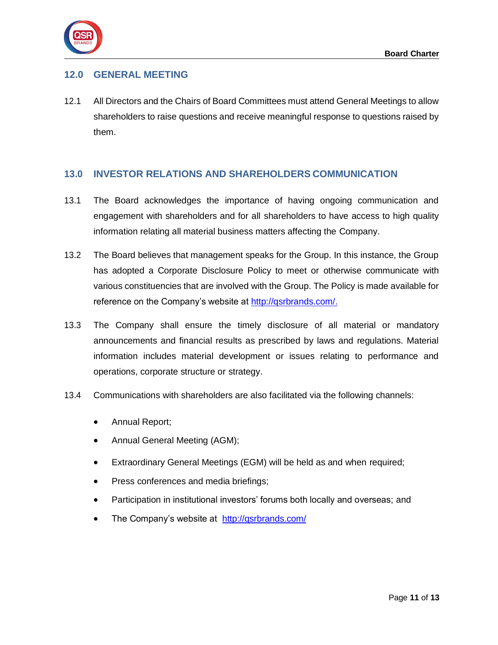

## <span id="page-12-0"></span>**12.0 GENERAL MEETING**

12.1 All Directors and the Chairs of Board Committees must attend General Meetings to allow shareholders to raise questions and receive meaningful response to questions raised by them.

## <span id="page-12-1"></span>**13.0 INVESTOR RELATIONS AND SHAREHOLDERS COMMUNICATION**

- 13.1 The Board acknowledges the importance of having ongoing communication and engagement with shareholders and for all shareholders to have access to high quality information relating all material business matters affecting the Company.
- 13.2 The Board believes that management speaks for the Group. In this instance, the Group has adopted a Corporate Disclosure Policy to meet or otherwise communicate with various constituencies that are involved with the Group. The Policy is made available for reference on the Company's website at [http://qsrbrands.com/.](http://qsrbrands.com/)
- 13.3 The Company shall ensure the timely disclosure of all material or mandatory announcements and financial results as prescribed by laws and regulations. Material information includes material development or issues relating to performance and operations, corporate structure or strategy.
- 13.4 Communications with shareholders are also facilitated via the following channels:
	- Annual Report;
	- Annual General Meeting (AGM);
	- Extraordinary General Meetings (EGM) will be held as and when required;
	- Press conferences and media briefings;
	- Participation in institutional investors' forums both locally and overseas; and
	- The Company's website at <http://qsrbrands.com/>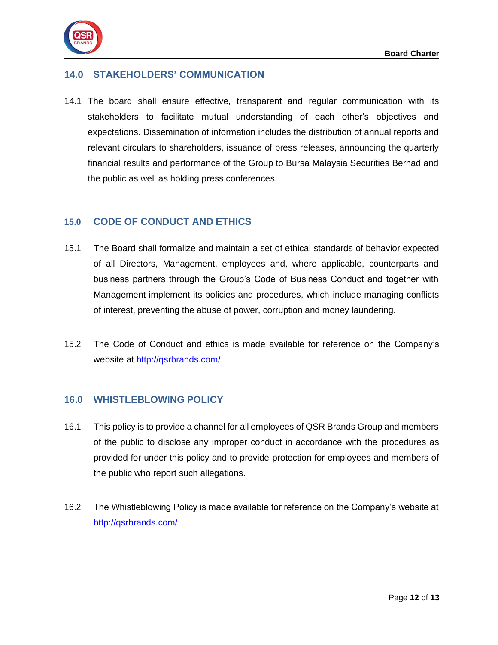



## <span id="page-13-0"></span>**14.0 STAKEHOLDERS' COMMUNICATION**

14.1 The board shall ensure effective, transparent and regular communication with its stakeholders to facilitate mutual understanding of each other's objectives and expectations. Dissemination of information includes the distribution of annual reports and relevant circulars to shareholders, issuance of press releases, announcing the quarterly financial results and performance of the Group to Bursa Malaysia Securities Berhad and the public as well as holding press conferences.

#### <span id="page-13-1"></span>**15.0 CODE OF CONDUCT AND ETHICS**

- 15.1 The Board shall formalize and maintain a set of ethical standards of behavior expected of all Directors, Management, employees and, where applicable, counterparts and business partners through the Group's Code of Business Conduct and together with Management implement its policies and procedures, which include managing conflicts of interest, preventing the abuse of power, corruption and money laundering.
- 15.2 The Code of Conduct and ethics is made available for reference on the Company's website at<http://qsrbrands.com/>

## <span id="page-13-2"></span>**16.0 WHISTLEBLOWING POLICY**

- 16.1 This policy is to provide a channel for all employees of QSR Brands Group and members of the public to disclose any improper conduct in accordance with the procedures as provided for under this policy and to provide protection for employees and members of the public who report such allegations.
- 16.2 The Whistleblowing Policy is made available for reference on the Company's website at <http://qsrbrands.com/>